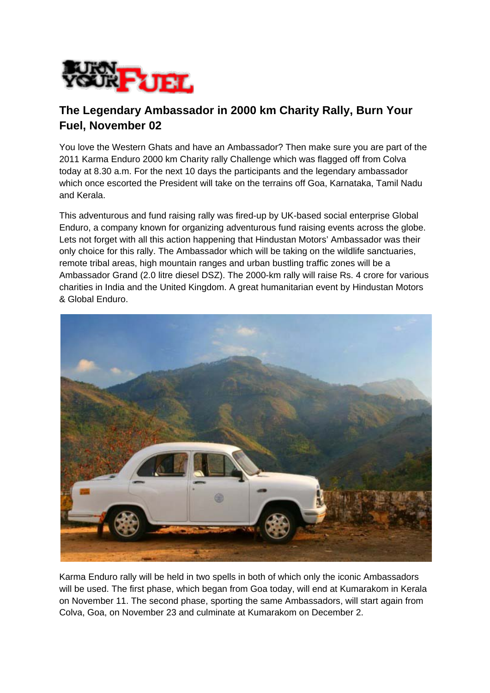

## **The Legendary Ambassador in 2000 km Charity Rally, Burn Your Fuel, November 02**

You love the Western Ghats and have an Ambassador? Then make sure you are part of the 2011 Karma Enduro 2000 km Charity rally Challenge which was flagged off from Colva today at 8.30 a.m. For the next 10 days the participants and the legendary ambassador which once escorted the President will take on the terrains off Goa, Karnataka, Tamil Nadu and Kerala.

This adventurous and fund raising rally was fired-up by UK-based social enterprise Global Enduro, a company known for organizing adventurous fund raising events across the globe. Lets not forget with all this action happening that Hindustan Motors' Ambassador was their only choice for this rally. The Ambassador which will be taking on the wildlife sanctuaries, remote tribal areas, high mountain ranges and urban bustling traffic zones will be a Ambassador Grand (2.0 litre diesel DSZ). The 2000-km rally will raise Rs. 4 crore for various charities in India and the United Kingdom. A great humanitarian event by Hindustan Motors & Global Enduro.



Karma Enduro rally will be held in two spells in both of which only the iconic Ambassadors will be used. The first phase, which began from Goa today, will end at Kumarakom in Kerala on November 11. The second phase, sporting the same Ambassadors, will start again from Colva, Goa, on November 23 and culminate at Kumarakom on December 2.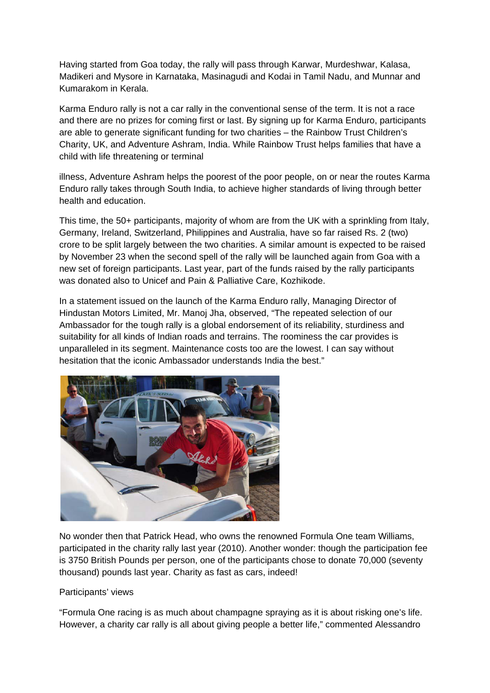Having started from Goa today, the rally will pass through Karwar, Murdeshwar, Kalasa, Madikeri and Mysore in Karnataka, Masinagudi and Kodai in Tamil Nadu, and Munnar and Kumarakom in Kerala.

Karma Enduro rally is not a car rally in the conventional sense of the term. It is not a race and there are no prizes for coming first or last. By signing up for Karma Enduro, participants are able to generate significant funding for two charities – the Rainbow Trust Children's Charity, UK, and Adventure Ashram, India. While Rainbow Trust helps families that have a child with life threatening or terminal

illness, Adventure Ashram helps the poorest of the poor people, on or near the routes Karma Enduro rally takes through South India, to achieve higher standards of living through better health and education.

This time, the 50+ participants, majority of whom are from the UK with a sprinkling from Italy, Germany, Ireland, Switzerland, Philippines and Australia, have so far raised Rs. 2 (two) crore to be split largely between the two charities. A similar amount is expected to be raised by November 23 when the second spell of the rally will be launched again from Goa with a new set of foreign participants. Last year, part of the funds raised by the rally participants was donated also to Unicef and Pain & Palliative Care, Kozhikode.

In a statement issued on the launch of the Karma Enduro rally, Managing Director of Hindustan Motors Limited, Mr. Manoj Jha, observed, "The repeated selection of our Ambassador for the tough rally is a global endorsement of its reliability, sturdiness and suitability for all kinds of Indian roads and terrains. The roominess the car provides is unparalleled in its segment. Maintenance costs too are the lowest. I can say without hesitation that the iconic Ambassador understands India the best."



No wonder then that Patrick Head, who owns the renowned Formula One team Williams, participated in the charity rally last year (2010). Another wonder: though the participation fee is 3750 British Pounds per person, one of the participants chose to donate 70,000 (seventy thousand) pounds last year. Charity as fast as cars, indeed!

## Participants' views

"Formula One racing is as much about champagne spraying as it is about risking one's life. However, a charity car rally is all about giving people a better life," commented Alessandro